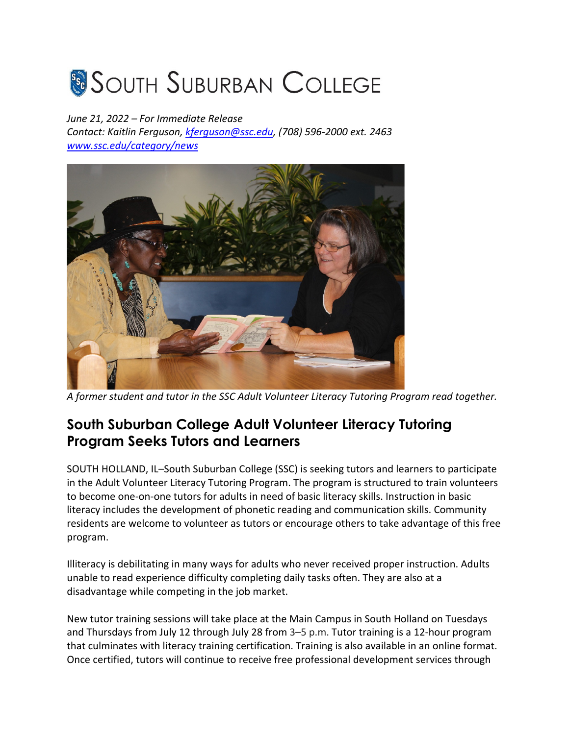## **SOUTH SUBURBAN COLLEGE**

## *June 21, 2022 – For Immediate Release*

*Contact: Kaitlin Ferguson, kferguson@ssc.edu, (708) 596-2000 ext. 2463 www.ssc.edu/category/news*



*A former student and tutor in the SSC Adult Volunteer Literacy Tutoring Program read together.*

## **South Suburban College Adult Volunteer Literacy Tutoring Program Seeks Tutors and Learners**

SOUTH HOLLAND, IL–South Suburban College (SSC) is seeking tutors and learners to participate in the Adult Volunteer Literacy Tutoring Program. The program is structured to train volunteers to become one-on-one tutors for adults in need of basic literacy skills. Instruction in basic literacy includes the development of phonetic reading and communication skills. Community residents are welcome to volunteer as tutors or encourage others to take advantage of this free program.

Illiteracy is debilitating in many ways for adults who never received proper instruction. Adults unable to read experience difficulty completing daily tasks often. They are also at a disadvantage while competing in the job market.

New tutor training sessions will take place at the Main Campus in South Holland on Tuesdays and Thursdays from July 12 through July 28 from 3–5 p.m. Tutor training is a 12-hour program that culminates with literacy training certification. Training is also available in an online format. Once certified, tutors will continue to receive free professional development services through